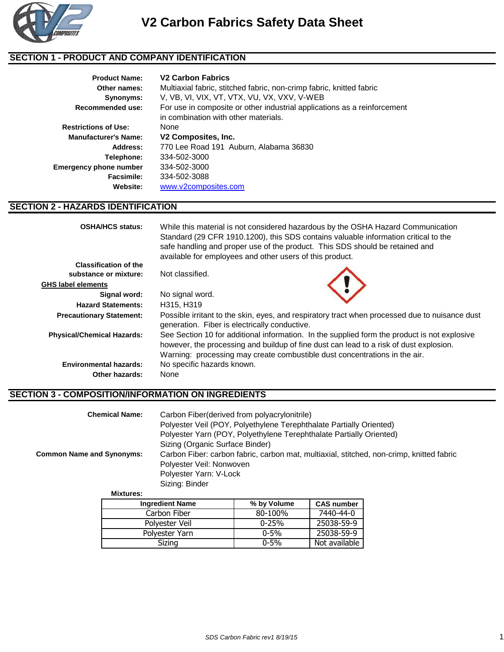

## **SECTION 1 - PRODUCT AND COMPANY IDENTIFICATION**

| <b>Product Name:</b><br>Other names: | <b>V<sub>2</sub></b> Carbon Fabrics<br>Multiaxial fabric, stitched fabric, non-crimp fabric, knitted fabric      |
|--------------------------------------|------------------------------------------------------------------------------------------------------------------|
| Synonyms:                            | V, VB, VI, VIX, VT, VTX, VU, VX, VXV, V-WEB                                                                      |
| <b>Recommended use:</b>              | For use in composite or other industrial applications as a reinforcement<br>in combination with other materials. |
| <b>Restrictions of Use:</b>          | None                                                                                                             |
| <b>Manufacturer's Name:</b>          | V2 Composites, Inc.                                                                                              |
| Address:                             | 770 Lee Road 191 Auburn, Alabama 36830                                                                           |
| Telephone:                           | 334-502-3000                                                                                                     |
| Emergency phone number               | 334-502-3000                                                                                                     |
| Facsimile:                           | 334-502-3088                                                                                                     |
| Website:                             | www.v2composites.com                                                                                             |

### **SECTION 2 - HAZARDS IDENTIFICATION**

| <b>OSHA/HCS status:</b>           | While this material is not considered hazardous by the OSHA Hazard Communication<br>Standard (29 CFR 1910.1200), this SDS contains valuable information critical to the<br>safe handling and proper use of the product. This SDS should be retained and<br>available for employees and other users of this product. |
|-----------------------------------|---------------------------------------------------------------------------------------------------------------------------------------------------------------------------------------------------------------------------------------------------------------------------------------------------------------------|
| <b>Classification of the</b>      |                                                                                                                                                                                                                                                                                                                     |
| substance or mixture:             | Not classified.                                                                                                                                                                                                                                                                                                     |
| GHS label elements                |                                                                                                                                                                                                                                                                                                                     |
| Signal word:                      | No signal word.                                                                                                                                                                                                                                                                                                     |
| <b>Hazard Statements:</b>         | H315, H319                                                                                                                                                                                                                                                                                                          |
| <b>Precautionary Statement:</b>   | Possible irritant to the skin, eyes, and respiratory tract when processed due to nuisance dust<br>generation. Fiber is electrically conductive.                                                                                                                                                                     |
| <b>Physical/Chemical Hazards:</b> | See Section 10 for additional information. In the supplied form the product is not explosive<br>however, the processing and buildup of fine dust can lead to a risk of dust explosion.<br>Warning: processing may create combustible dust concentrations in the air.                                                |
| <b>Environmental hazards:</b>     | No specific hazards known.                                                                                                                                                                                                                                                                                          |
| Other hazards:                    | None                                                                                                                                                                                                                                                                                                                |

### **SECTION 3 - COMPOSITION/INFORMATION ON INGREDIENTS**

| Carbon Fiber (derived from polyacrylonitrile)<br><b>Chemical Name:</b> | Polyester Veil (POY, Polyethylene Terephthalate Partially Oriented)<br>Polyester Yarn (POY, Polyethylene Terephthalate Partially Oriented) |
|------------------------------------------------------------------------|--------------------------------------------------------------------------------------------------------------------------------------------|
| <b>Common Name and Synonyms:</b>                                       | Sizing (Organic Surface Binder)<br>Carbon Fiber: carbon fabric, carbon mat, multiaxial, stitched, non-crimp, knitted fabric                |
|                                                                        | Polyester Veil: Nonwoven                                                                                                                   |
|                                                                        | Polyester Yarn: V-Lock                                                                                                                     |
|                                                                        | Sizing: Binder                                                                                                                             |
| <b>Mixtures:</b>                                                       |                                                                                                                                            |

| <b>Mixtures:</b> |
|------------------|
|------------------|

| <b>Ingredient Name</b> | % by Volume | <b>CAS number</b> |
|------------------------|-------------|-------------------|
| Carbon Fiber           | 80-100%     | 7440-44-0         |
| Polyester Veil         | $0 - 25%$   | 25038-59-9        |
| Polyester Yarn         | $0 - 5%$    | 25038-59-9        |
| Sizing                 | $0 - 5%$    | Not available     |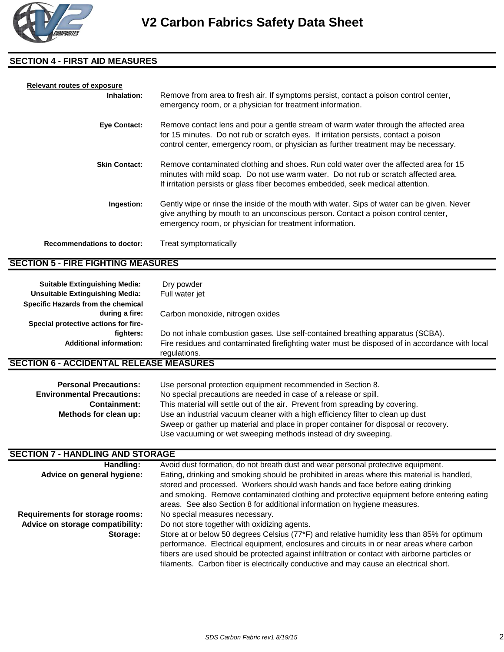

#### **SECTION 4 - FIRST AID MEASURES**

| <b>Relevant routes of exposure</b> |                                                                                                                                                                                                                                                                     |
|------------------------------------|---------------------------------------------------------------------------------------------------------------------------------------------------------------------------------------------------------------------------------------------------------------------|
| Inhalation:                        | Remove from area to fresh air. If symptoms persist, contact a poison control center,<br>emergency room, or a physician for treatment information.                                                                                                                   |
| <b>Eye Contact:</b>                | Remove contact lens and pour a gentle stream of warm water through the affected area<br>for 15 minutes. Do not rub or scratch eyes. If irritation persists, contact a poison<br>control center, emergency room, or physician as further treatment may be necessary. |
| <b>Skin Contact:</b>               | Remove contaminated clothing and shoes. Run cold water over the affected area for 15<br>minutes with mild soap. Do not use warm water. Do not rub or scratch affected area.<br>If irritation persists or glass fiber becomes embedded, seek medical attention.      |
| Ingestion:                         | Gently wipe or rinse the inside of the mouth with water. Sips of water can be given. Never<br>give anything by mouth to an unconscious person. Contact a poison control center,<br>emergency room, or physician for treatment information.                          |
| <b>Recommendations to doctor:</b>  | Treat symptomatically                                                                                                                                                                                                                                               |

#### **SECTION 5 - FIRE FIGHTING MEASURES**

| <b>Suitable Extinguishing Media:</b><br><b>Unsuitable Extinguishing Media:</b> | Dry powder<br>Full water jet                                                                                   |
|--------------------------------------------------------------------------------|----------------------------------------------------------------------------------------------------------------|
| Specific Hazards from the chemical                                             |                                                                                                                |
| during a fire:                                                                 | Carbon monoxide, nitrogen oxides                                                                               |
| Special protective actions for fire-                                           |                                                                                                                |
| fighters:                                                                      | Do not inhale combustion gases. Use self-contained breathing apparatus (SCBA).                                 |
| <b>Additional information:</b>                                                 | Fire residues and contaminated firefighting water must be disposed of in accordance with local<br>regulations. |
| <b>SECTION 6 - ACCIDENTAL RELEASE MEASURES</b>                                 |                                                                                                                |

| <b>Personal Precautions:</b>      | Use personal protection equipment recommended in Section 8.                         |
|-----------------------------------|-------------------------------------------------------------------------------------|
| <b>Environmental Precautions:</b> | No special precautions are needed in case of a release or spill.                    |
| <b>Containment:</b>               | This material will settle out of the air. Prevent from spreading by covering.       |
| Methods for clean up:             | Use an industrial vacuum cleaner with a high efficiency filter to clean up dust     |
|                                   | Sweep or gather up material and place in proper container for disposal or recovery. |
|                                   | Use vacuuming or wet sweeping methods instead of dry sweeping.                      |

# **SECTION 7 - HANDLING AND STORAGE**

| Handling:                        | Avoid dust formation, do not breath dust and wear personal protective equipment.               |
|----------------------------------|------------------------------------------------------------------------------------------------|
| Advice on general hygiene:       | Eating, drinking and smoking should be prohibited in areas where this material is handled,     |
|                                  | stored and processed. Workers should wash hands and face before eating drinking                |
|                                  | and smoking. Remove contaminated clothing and protective equipment before entering eating      |
|                                  | areas. See also Section 8 for additional information on hygiene measures.                      |
| Requirements for storage rooms:  | No special measures necessary.                                                                 |
| Advice on storage compatibility: | Do not store together with oxidizing agents.                                                   |
| Storage:                         | Store at or below 50 degrees Celsius (77*F) and relative humidity less than 85% for optimum    |
|                                  | performance. Electrical equipment, enclosures and circuits in or near areas where carbon       |
|                                  | fibers are used should be protected against infiltration or contact with airborne particles or |
|                                  | filaments. Carbon fiber is electrically conductive and may cause an electrical short.          |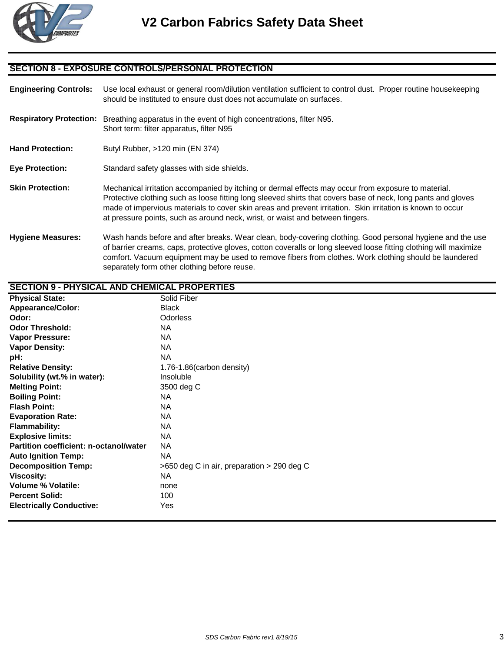

### **SECTION 8 - EXPOSURE CONTROLS/PERSONAL PROTECTION**

separately form other clothing before reuse.

**Engineering Controls:** Use local exhaust or general room/dilution ventilation sufficient to control dust. Proper routine housekeeping should be instituted to ensure dust does not accumulate on surfaces. **Respiratory Protection:** Breathing apparatus in the event of high concentrations, filter N95. Short term: filter apparatus, filter N95 Hand Protection: Butyl Rubber, >120 min (EN 374) **Eye Protection:** Standard safety glasses with side shields. **Skin Protection:** Mechanical irritation accompanied by itching or dermal effects may occur from exposure to material. Protective clothing such as loose fitting long sleeved shirts that covers base of neck, long pants and gloves made of impervious materials to cover skin areas and prevent irritation. Skin irritation is known to occur at pressure points, such as around neck, wrist, or waist and between fingers. **Hygiene Measures:** Wash hands before and after breaks. Wear clean, body-covering clothing. Good personal hygiene and the use of barrier creams, caps, protective gloves, cotton coveralls or long sleeved loose fitting clothing will maximize comfort. Vacuum equipment may be used to remove fibers from clothes. Work clothing should be laundered

| <b>SECTION 9 - PHYSICAL AND CHEMICAL PROPERTIES</b> |                                            |  |
|-----------------------------------------------------|--------------------------------------------|--|
| <b>Physical State:</b>                              | Solid Fiber                                |  |
| <b>Appearance/Color:</b>                            | <b>Black</b>                               |  |
| Odor:                                               | <b>Odorless</b>                            |  |
| <b>Odor Threshold:</b>                              | <b>NA</b>                                  |  |
| Vapor Pressure:                                     | <b>NA</b>                                  |  |
| <b>Vapor Density:</b>                               | <b>NA</b>                                  |  |
| pH:                                                 | <b>NA</b>                                  |  |
| <b>Relative Density:</b>                            | 1.76-1.86(carbon density)                  |  |
| Solubility (wt.% in water):                         | Insoluble                                  |  |
| <b>Melting Point:</b>                               | 3500 deg C                                 |  |
| <b>Boiling Point:</b>                               | <b>NA</b>                                  |  |
| <b>Flash Point:</b>                                 | <b>NA</b>                                  |  |
| <b>Evaporation Rate:</b>                            | <b>NA</b>                                  |  |
| <b>Flammability:</b>                                | <b>NA</b>                                  |  |
| <b>Explosive limits:</b>                            | <b>NA</b>                                  |  |
| Partition coefficient: n-octanol/water              | <b>NA</b>                                  |  |
| <b>Auto Ignition Temp:</b>                          | <b>NA</b>                                  |  |
| <b>Decomposition Temp:</b>                          | >650 deg C in air, preparation > 290 deg C |  |
| <b>Viscosity:</b>                                   | <b>NA</b>                                  |  |
| <b>Volume % Volatile:</b>                           | none                                       |  |
| <b>Percent Solid:</b>                               | 100                                        |  |
| <b>Electrically Conductive:</b>                     | Yes                                        |  |
|                                                     |                                            |  |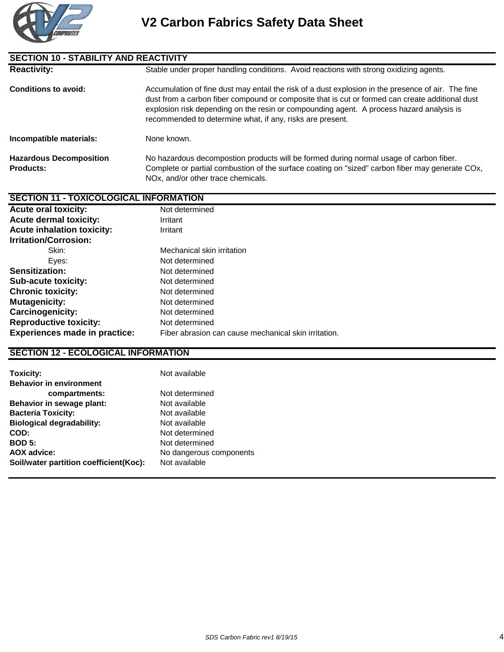

| <b>SECTION 10 - STABILITY AND REACTIVITY</b>       |                                                                                                                                                                                                                                                                                                                                                                |
|----------------------------------------------------|----------------------------------------------------------------------------------------------------------------------------------------------------------------------------------------------------------------------------------------------------------------------------------------------------------------------------------------------------------------|
| <b>Reactivity:</b>                                 | Stable under proper handling conditions. Avoid reactions with strong oxidizing agents.                                                                                                                                                                                                                                                                         |
| <b>Conditions to avoid:</b>                        | Accumulation of fine dust may entail the risk of a dust explosion in the presence of air. The fine<br>dust from a carbon fiber compound or composite that is cut or formed can create additional dust<br>explosion risk depending on the resin or compounding agent. A process hazard analysis is<br>recommended to determine what, if any, risks are present. |
| Incompatible materials:                            | None known.                                                                                                                                                                                                                                                                                                                                                    |
| <b>Hazardous Decomposition</b><br><b>Products:</b> | No hazardous decompostion products will be formed during normal usage of carbon fiber.<br>Complete or partial combustion of the surface coating on "sized" carbon fiber may generate COx,<br>NOx, and/or other trace chemicals.                                                                                                                                |

#### **SECTION 11 - TOXICOLOGICAL INFORMATION**

| <b>Acute oral toxicity:</b>          | Not determined                                       |
|--------------------------------------|------------------------------------------------------|
| <b>Acute dermal toxicity:</b>        | Irritant                                             |
| <b>Acute inhalation toxicity:</b>    | Irritant                                             |
| <b>Irritation/Corrosion:</b>         |                                                      |
| Skin:                                | Mechanical skin irritation                           |
| Eyes:                                | Not determined                                       |
| <b>Sensitization:</b>                | Not determined                                       |
| <b>Sub-acute toxicity:</b>           | Not determined                                       |
| <b>Chronic toxicity:</b>             | Not determined                                       |
| <b>Mutagenicity:</b>                 | Not determined                                       |
| <b>Carcinogenicity:</b>              | Not determined                                       |
| <b>Reproductive toxicity:</b>        | Not determined                                       |
| <b>Experiences made in practice:</b> | Fiber abrasion can cause mechanical skin irritation. |
|                                      |                                                      |

## **SECTION 12 - ECOLOGICAL INFORMATION**

| <b>Toxicity:</b>                       | Not available           |
|----------------------------------------|-------------------------|
| <b>Behavior in environment</b>         |                         |
| compartments:                          | Not determined          |
| Behavior in sewage plant:              | Not available           |
| <b>Bacteria Toxicity:</b>              | Not available           |
| <b>Biological degradability:</b>       | Not available           |
| COD:                                   | Not determined          |
| <b>BOD 5:</b>                          | Not determined          |
| <b>AOX advice:</b>                     | No dangerous components |
| Soil/water partition coefficient(Koc): | Not available           |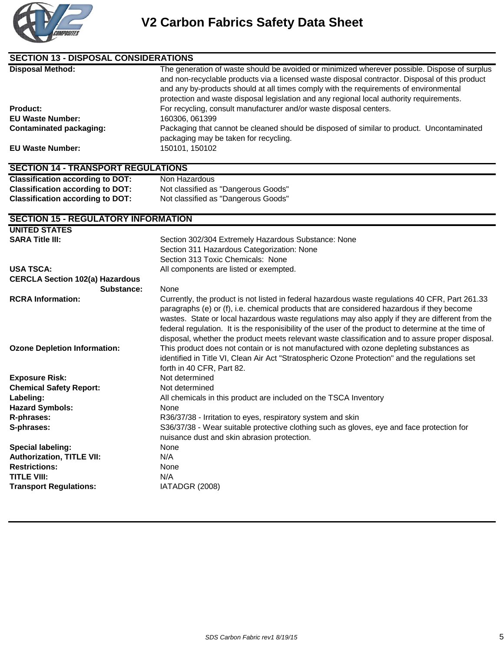

| <b>SECTION 13 - DISPOSAL CONSIDERATIONS</b> |                                                                                                                                                                                                                                                                                                                                                                                                                                                                                                               |  |
|---------------------------------------------|---------------------------------------------------------------------------------------------------------------------------------------------------------------------------------------------------------------------------------------------------------------------------------------------------------------------------------------------------------------------------------------------------------------------------------------------------------------------------------------------------------------|--|
| <b>Disposal Method:</b>                     | The generation of waste should be avoided or minimized wherever possible. Dispose of surplus<br>and non-recyclable products via a licensed waste disposal contractor. Disposal of this product<br>and any by-products should at all times comply with the requirements of environmental<br>protection and waste disposal legislation and any regional local authority requirements.                                                                                                                           |  |
| <b>Product:</b>                             | For recycling, consult manufacturer and/or waste disposal centers.                                                                                                                                                                                                                                                                                                                                                                                                                                            |  |
| <b>EU Waste Number:</b>                     | 160306, 061399                                                                                                                                                                                                                                                                                                                                                                                                                                                                                                |  |
| <b>Contaminated packaging:</b>              | Packaging that cannot be cleaned should be disposed of similar to product. Uncontaminated<br>packaging may be taken for recycling.                                                                                                                                                                                                                                                                                                                                                                            |  |
| <b>EU Waste Number:</b>                     | 150101, 150102                                                                                                                                                                                                                                                                                                                                                                                                                                                                                                |  |
| <b>SECTION 14 - TRANSPORT REGULATIONS</b>   |                                                                                                                                                                                                                                                                                                                                                                                                                                                                                                               |  |
| <b>Classification according to DOT:</b>     | Non Hazardous                                                                                                                                                                                                                                                                                                                                                                                                                                                                                                 |  |
| <b>Classification according to DOT:</b>     | Not classified as "Dangerous Goods"                                                                                                                                                                                                                                                                                                                                                                                                                                                                           |  |
| <b>Classification according to DOT:</b>     | Not classified as "Dangerous Goods"                                                                                                                                                                                                                                                                                                                                                                                                                                                                           |  |
| <b>SECTION 15 - REGULATORY INFORMATION</b>  |                                                                                                                                                                                                                                                                                                                                                                                                                                                                                                               |  |
| <b>UNITED STATES</b>                        |                                                                                                                                                                                                                                                                                                                                                                                                                                                                                                               |  |
| <b>SARA Title III:</b>                      | Section 302/304 Extremely Hazardous Substance: None                                                                                                                                                                                                                                                                                                                                                                                                                                                           |  |
|                                             | Section 311 Hazardous Categorization: None                                                                                                                                                                                                                                                                                                                                                                                                                                                                    |  |
|                                             | Section 313 Toxic Chemicals: None                                                                                                                                                                                                                                                                                                                                                                                                                                                                             |  |
| <b>USA TSCA:</b>                            | All components are listed or exempted.                                                                                                                                                                                                                                                                                                                                                                                                                                                                        |  |
| <b>CERCLA Section 102(a) Hazardous</b>      |                                                                                                                                                                                                                                                                                                                                                                                                                                                                                                               |  |
| Substance:                                  | None                                                                                                                                                                                                                                                                                                                                                                                                                                                                                                          |  |
| <b>RCRA Information:</b>                    | Currently, the product is not listed in federal hazardous waste regulations 40 CFR, Part 261.33<br>paragraphs (e) or (f), i.e. chemical products that are considered hazardous if they become<br>wastes. State or local hazardous waste regulations may also apply if they are different from the<br>federal regulation. It is the responisibility of the user of the product to determine at the time of<br>disposal, whether the product meets relevant waste classification and to assure proper disposal. |  |
| <b>Ozone Depletion Information:</b>         | This product does not contain or is not manufactured with ozone depleting substances as<br>identified in Title VI, Clean Air Act "Stratospheric Ozone Protection" and the regulations set<br>forth in 40 CFR, Part 82.                                                                                                                                                                                                                                                                                        |  |
| <b>Exposure Risk:</b>                       | Not determined                                                                                                                                                                                                                                                                                                                                                                                                                                                                                                |  |
| <b>Chemical Safety Report:</b>              | Not determined                                                                                                                                                                                                                                                                                                                                                                                                                                                                                                |  |
| Labeling:                                   | All chemicals in this product are included on the TSCA Inventory                                                                                                                                                                                                                                                                                                                                                                                                                                              |  |
| <b>Hazard Symbols:</b>                      | None                                                                                                                                                                                                                                                                                                                                                                                                                                                                                                          |  |
| R-phrases:                                  | R36/37/38 - Irritation to eyes, respiratory system and skin                                                                                                                                                                                                                                                                                                                                                                                                                                                   |  |
| S-phrases:                                  | S36/37/38 - Wear suitable protective clothing such as gloves, eye and face protection for<br>nuisance dust and skin abrasion protection.                                                                                                                                                                                                                                                                                                                                                                      |  |
| Special labeling:                           | None                                                                                                                                                                                                                                                                                                                                                                                                                                                                                                          |  |
| <b>Authorization, TITLE VII:</b>            | N/A                                                                                                                                                                                                                                                                                                                                                                                                                                                                                                           |  |
| <b>Restrictions:</b>                        | None                                                                                                                                                                                                                                                                                                                                                                                                                                                                                                          |  |
| <b>TITLE VIII:</b>                          | N/A                                                                                                                                                                                                                                                                                                                                                                                                                                                                                                           |  |
| <b>Transport Regulations:</b>               | IATADGR (2008)                                                                                                                                                                                                                                                                                                                                                                                                                                                                                                |  |